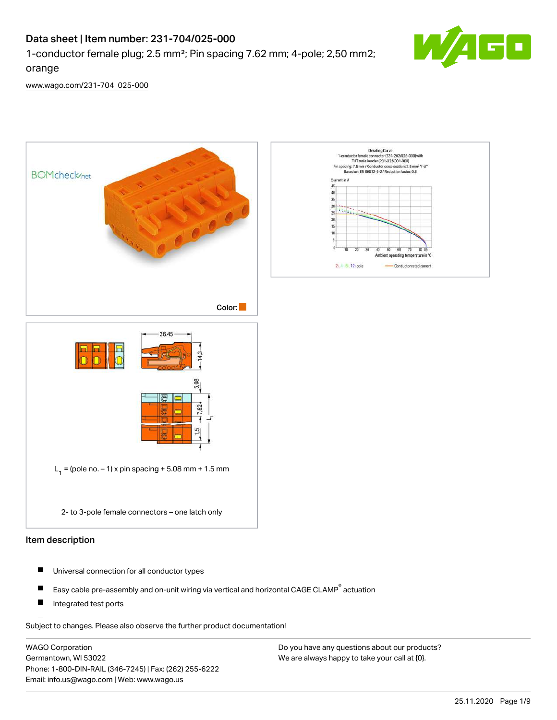# Data sheet | Item number: 231-704/025-000

1-conductor female plug; 2.5 mm²; Pin spacing 7.62 mm; 4-pole; 2,50 mm2;



[www.wago.com/231-704\\_025-000](http://www.wago.com/231-704_025-000)

orange



- П Universal connection for all conductor types
- Easy cable pre-assembly and on-unit wiring via vertical and horizontal CAGE CLAMP® actuation П
- $\blacksquare$ Integrated test ports

Subject to changes. Please also observe the further product documentation!

WAGO Corporation Germantown, WI 53022 Phone: 1-800-DIN-RAIL (346-7245) | Fax: (262) 255-6222 Email: info.us@wago.com | Web: www.wago.us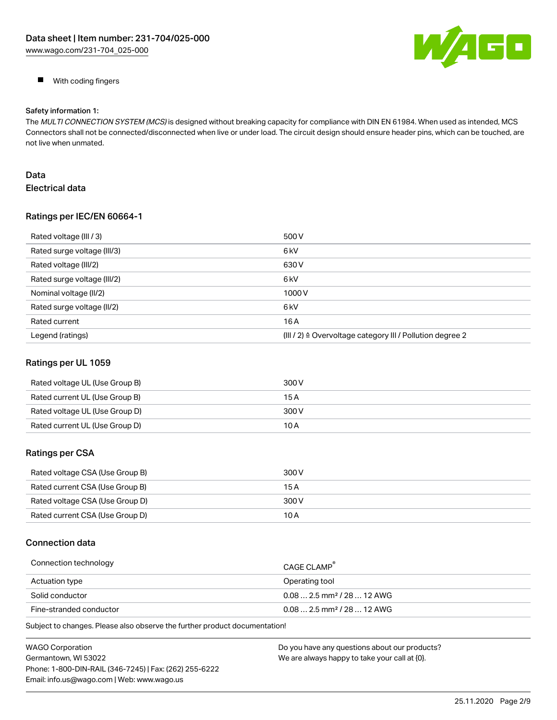

**With coding fingers** 

#### Safety information 1:

The MULTI CONNECTION SYSTEM (MCS) is designed without breaking capacity for compliance with DIN EN 61984. When used as intended, MCS Connectors shall not be connected/disconnected when live or under load. The circuit design should ensure header pins, which can be touched, are not live when unmated.

# Data Electrical data

### Ratings per IEC/EN 60664-1

| Rated voltage (III / 3)     | 500 V                                                                |
|-----------------------------|----------------------------------------------------------------------|
| Rated surge voltage (III/3) | 6 <sub>k</sub> V                                                     |
| Rated voltage (III/2)       | 630 V                                                                |
| Rated surge voltage (III/2) | 6 <sub>k</sub> V                                                     |
| Nominal voltage (II/2)      | 1000V                                                                |
| Rated surge voltage (II/2)  | 6 <sub>k</sub> V                                                     |
| Rated current               | 16A                                                                  |
| Legend (ratings)            | (III / 2) $\triangleq$ Overvoltage category III / Pollution degree 2 |

### Ratings per UL 1059

| Rated voltage UL (Use Group B) | 300 V |
|--------------------------------|-------|
| Rated current UL (Use Group B) | 15 A  |
| Rated voltage UL (Use Group D) | 300 V |
| Rated current UL (Use Group D) | 10 A  |

### Ratings per CSA

| Rated voltage CSA (Use Group B) | 300 V |
|---------------------------------|-------|
| Rated current CSA (Use Group B) | 15 A  |
| Rated voltage CSA (Use Group D) | 300 V |
| Rated current CSA (Use Group D) | 10 A  |

### Connection data

| Connection technology   | CAGE CLAMP                             |
|-------------------------|----------------------------------------|
| Actuation type          | Operating tool                         |
| Solid conductor         | $0.082.5$ mm <sup>2</sup> / 28  12 AWG |
| Fine-stranded conductor | $0.082.5$ mm <sup>2</sup> / 28  12 AWG |

Subject to changes. Please also observe the further product documentation!

| <b>WAGO Corporation</b>                                | Do you have any questions about our products? |
|--------------------------------------------------------|-----------------------------------------------|
| Germantown, WI 53022                                   | We are always happy to take your call at {0}. |
| Phone: 1-800-DIN-RAIL (346-7245)   Fax: (262) 255-6222 |                                               |
| Email: info.us@wago.com   Web: www.wago.us             |                                               |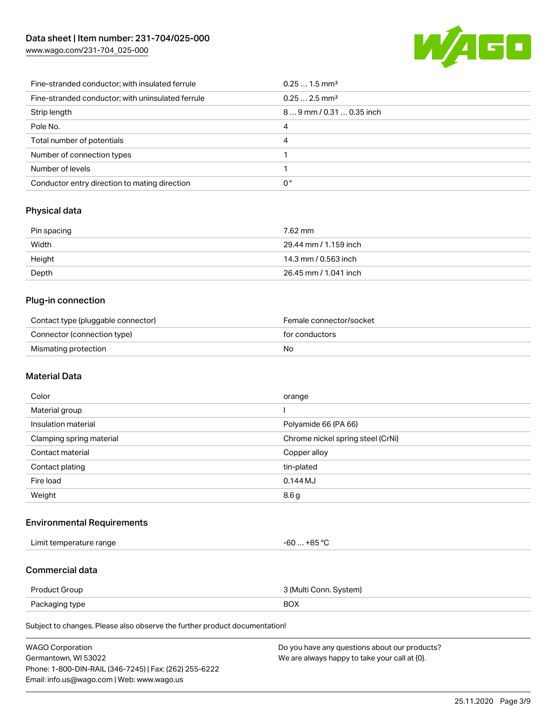

| Fine-stranded conductor; with insulated ferrule   | $0.251.5$ mm <sup>2</sup> |
|---------------------------------------------------|---------------------------|
| Fine-stranded conductor; with uninsulated ferrule | $0.252.5$ mm <sup>2</sup> |
| Strip length                                      | 89 mm / 0.31  0.35 inch   |
| Pole No.                                          | 4                         |
| Total number of potentials                        | 4                         |
| Number of connection types                        |                           |
| Number of levels                                  |                           |
| Conductor entry direction to mating direction     | 0°                        |

### Physical data

| Pin spacing | 7.62 mm               |
|-------------|-----------------------|
| Width       | 29.44 mm / 1.159 inch |
| Height      | 14.3 mm / 0.563 inch  |
| Depth       | 26.45 mm / 1.041 inch |

### Plug-in connection

| Contact type (pluggable connector) | Female connector/socket |
|------------------------------------|-------------------------|
| Connector (connection type)        | for conductors          |
| Mismating protection               | No                      |

# Material Data

| Color                    | orange                            |
|--------------------------|-----------------------------------|
| Material group           |                                   |
| Insulation material      | Polyamide 66 (PA 66)              |
| Clamping spring material | Chrome nickel spring steel (CrNi) |
| Contact material         | Copper alloy                      |
| Contact plating          | tin-plated                        |
| Fire load                | $0.144$ MJ                        |
| Weight                   | 8.6 <sub>g</sub>                  |

# Environmental Requirements

Limit temperature range  $-60...+85$  °C

# Commercial data

| Product Group  | 3 (Multi Conn. System) |
|----------------|------------------------|
| Packaging type | <b>BOX</b>             |

Subject to changes. Please also observe the further product documentation!

| <b>WAGO Corporation</b>                                | Do you have any questions about our products? |
|--------------------------------------------------------|-----------------------------------------------|
| Germantown, WI 53022                                   | We are always happy to take your call at {0}. |
| Phone: 1-800-DIN-RAIL (346-7245)   Fax: (262) 255-6222 |                                               |
| Email: info.us@wago.com   Web: www.wago.us             |                                               |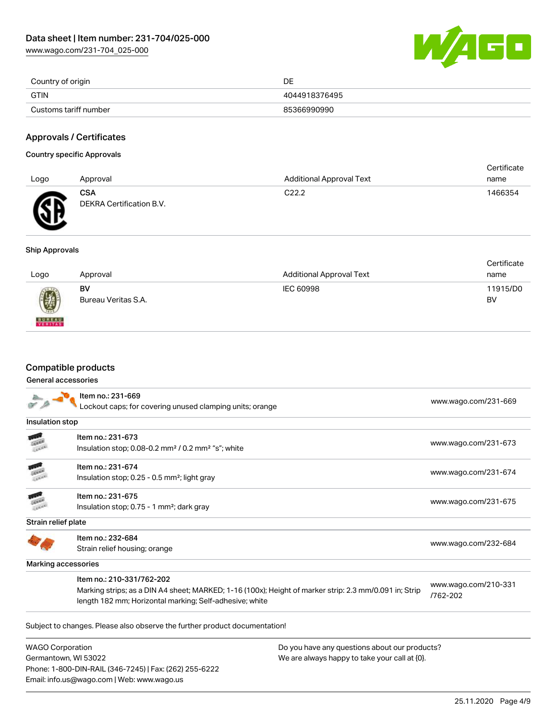

| Country of origin     | DE            |
|-----------------------|---------------|
| <b>GTIN</b>           | 4044918376495 |
| Customs tariff number | 85366990990   |

### Approvals / Certificates

#### Country specific Approvals

| Logo | Approval                               | <b>Additional Approval Text</b> | Certificate<br>name |
|------|----------------------------------------|---------------------------------|---------------------|
|      |                                        |                                 |                     |
| Æ    | <b>CSA</b><br>DEKRA Certification B.V. | C <sub>22.2</sub>               | 1466354             |

### Ship Approvals

| Logo          | Approval                  | <b>Additional Approval Text</b> | Certificate<br>name |
|---------------|---------------------------|---------------------------------|---------------------|
| 0             | BV<br>Bureau Veritas S.A. | IEC 60998                       | 11915/D0<br>BV      |
| <b>BUREAU</b> |                           |                                 |                     |

# Compatible products

Email: info.us@wago.com | Web: www.wago.us

#### General accessories

|                                                                                | Item no.: 231-669<br>ockout caps; for covering unused clamping units; orange                                                                                                                   |                                               | www.wago.com/231-669             |
|--------------------------------------------------------------------------------|------------------------------------------------------------------------------------------------------------------------------------------------------------------------------------------------|-----------------------------------------------|----------------------------------|
| Insulation stop                                                                |                                                                                                                                                                                                |                                               |                                  |
|                                                                                | Item no.: 231-673<br>Insulation stop; 0.08-0.2 mm <sup>2</sup> / 0.2 mm <sup>2</sup> "s"; white                                                                                                |                                               | www.wago.com/231-673             |
|                                                                                | Item no.: 231-674<br>Insulation stop; 0.25 - 0.5 mm <sup>2</sup> ; light gray                                                                                                                  |                                               | www.wago.com/231-674             |
|                                                                                | Item no.: 231-675<br>Insulation stop; 0.75 - 1 mm <sup>2</sup> ; dark gray                                                                                                                     |                                               | www.wago.com/231-675             |
| Strain relief plate                                                            |                                                                                                                                                                                                |                                               |                                  |
|                                                                                | Item no.: 232-684<br>Strain relief housing; orange                                                                                                                                             |                                               | www.wago.com/232-684             |
| Marking accessories                                                            |                                                                                                                                                                                                |                                               |                                  |
|                                                                                | Item no.: 210-331/762-202<br>Marking strips; as a DIN A4 sheet; MARKED; 1-16 (100x); Height of marker strip: 2.3 mm/0.091 in; Strip<br>length 182 mm; Horizontal marking; Self-adhesive; white |                                               | www.wago.com/210-331<br>/762-202 |
|                                                                                | Subject to changes. Please also observe the further product documentation!                                                                                                                     |                                               |                                  |
| <b>WAGO Corporation</b>                                                        |                                                                                                                                                                                                | Do you have any questions about our products? |                                  |
| Germantown, WI 53022<br>Phone: 1-800-DIN-RAIL (346-7245)   Fax: (262) 255-6222 |                                                                                                                                                                                                | We are always happy to take your call at {0}. |                                  |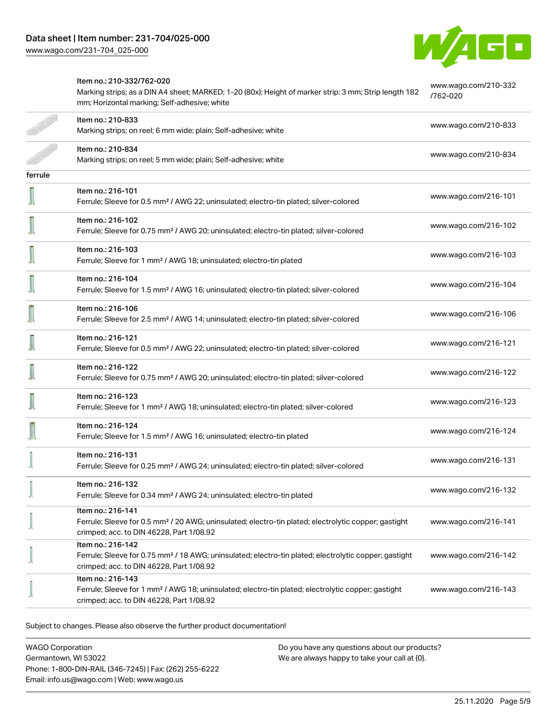

# Item no.: 210-332/762-020 [www.wago.com/210-332](http://www.wago.com/210-332/762-020) Marking strips; as a DIN A4 sheet; MARKED; 1-20 (80x); Height of marker strip: 3 mm; Strip length 182 [/762-020](http://www.wago.com/210-332/762-020) mm; Horizontal marking; Self-adhesive; white Item no.: 210-833 Marking strips; on reel; 6 mm wide; plain; Self-adhesive; white [www.wago.com/210-833](http://www.wago.com/210-833)<br>Marking strips; on reel; 6 mm wide; plain; Self-adhesive; white Item no.: 210-834 Marking strips; on reel; 5 mm wide; plain; Self-adhesive; white [www.wago.com/210-834](http://www.wago.com/210-834) www.wago.com/210-834 ferrule Item no.: 216-101 Ferrule; Sleeve for 0.5 mm² / AWG 22; uninsulated; electro-tin plated; silver-colored [www.wago.com/216-101](http://www.wago.com/216-101) Item no.: 216-102 Ferrule; Sleeve for 0.75 mm² / AWG 20; uninsulated; electro-tin plated; silver-colored [www.wago.com/216-102](http://www.wago.com/216-102) Item no.: 216-103 Ferrule; Sleeve for 1 mm² / AWG 18; uninsulated; electro-tin plated [www.wago.com/216-103](http://www.wago.com/216-103) Item no.: 216-104 Ferrule; Sleeve for 1.5 mm² / AWG 16; uninsulated; electro-tin plated; silver-colored [www.wago.com/216-104](http://www.wago.com/216-104) I Item no.: 216-106 Ferrule; Sleeve for 2.5 mm² / AWG 14; uninsulated; electro-tin plated; silver-colored [www.wago.com/216-106](http://www.wago.com/216-106) Item no.: 216-121 Ferrule; Sleeve for 0.5 mm² / AWG 22; uninsulated; electro-tin plated; silver-colored [www.wago.com/216-121](http://www.wago.com/216-121) Item no.: 216-122 Ferrule; Sleeve for 0.75 mm² / AWG 20; uninsulated; electro-tin plated; silver-colored [www.wago.com/216-122](http://www.wago.com/216-122) Item no.: 216-123 Ferrule; Sleeve for 1 mm² / AWG 18; uninsulated; electro-tin plated; silver-colored [www.wago.com/216-123](http://www.wago.com/216-123) Item no.: 216-124 Ferrule; Sleeve for 1.5 mm<sup>2</sup> / AWG 16; uninsulated; electro-tin plated [www.wago.com/216-124](http://www.wago.com/216-124) Item no.: 216-131 Ferrule; Sleeve for 0.25 mm² / AWG 24; uninsulated; electro-tin plated; silver-colored [www.wago.com/216-131](http://www.wago.com/216-131) Item no.: 216-132 Ferrule; Sleeve for 0.34 mm² / AWG 24; uninsulated; electro-tin plated [www.wago.com/216-132](http://www.wago.com/216-132) Item no.: 216-141 Ferrule; Sleeve for 0.5 mm² / 20 AWG; uninsulated; electro-tin plated; electrolytic copper; gastight [www.wago.com/216-141](http://www.wago.com/216-141) crimped; acc. to DIN 46228, Part 1/08.92 Item no.: 216-142 Ferrule; Sleeve for 0.75 mm² / 18 AWG; uninsulated; electro-tin plated; electrolytic copper; gastight [www.wago.com/216-142](http://www.wago.com/216-142) crimped; acc. to DIN 46228, Part 1/08.92 Item no.: 216-143 Ferrule; Sleeve for 1 mm² / AWG 18; uninsulated; electro-tin plated; electrolytic copper; gastight [www.wago.com/216-143](http://www.wago.com/216-143) crimped; acc. to DIN 46228, Part 1/08.92

Subject to changes. Please also observe the further product documentation!

WAGO Corporation Germantown, WI 53022 Phone: 1-800-DIN-RAIL (346-7245) | Fax: (262) 255-6222 Email: info.us@wago.com | Web: www.wago.us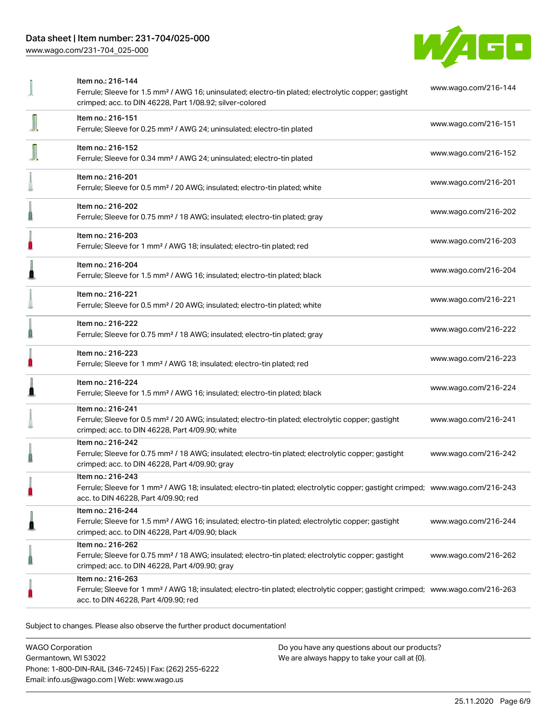

|   | Item no.: 216-144<br>Ferrule; Sleeve for 1.5 mm <sup>2</sup> / AWG 16; uninsulated; electro-tin plated; electrolytic copper; gastight<br>crimped; acc. to DIN 46228, Part 1/08.92; silver-colored       | www.wago.com/216-144 |
|---|---------------------------------------------------------------------------------------------------------------------------------------------------------------------------------------------------------|----------------------|
|   | Item no.: 216-151<br>Ferrule; Sleeve for 0.25 mm <sup>2</sup> / AWG 24; uninsulated; electro-tin plated                                                                                                 | www.wago.com/216-151 |
|   | Item no.: 216-152<br>Ferrule; Sleeve for 0.34 mm <sup>2</sup> / AWG 24; uninsulated; electro-tin plated                                                                                                 | www.wago.com/216-152 |
|   | Item no.: 216-201<br>Ferrule; Sleeve for 0.5 mm <sup>2</sup> / 20 AWG; insulated; electro-tin plated; white                                                                                             | www.wago.com/216-201 |
|   | Item no.: 216-202<br>Ferrule; Sleeve for 0.75 mm <sup>2</sup> / 18 AWG; insulated; electro-tin plated; gray                                                                                             | www.wago.com/216-202 |
| П | Item no.: 216-203<br>Ferrule; Sleeve for 1 mm <sup>2</sup> / AWG 18; insulated; electro-tin plated; red                                                                                                 | www.wago.com/216-203 |
|   | Item no.: 216-204<br>Ferrule; Sleeve for 1.5 mm <sup>2</sup> / AWG 16; insulated; electro-tin plated; black                                                                                             | www.wago.com/216-204 |
|   | Item no.: 216-221<br>Ferrule; Sleeve for 0.5 mm <sup>2</sup> / 20 AWG; insulated; electro-tin plated; white                                                                                             | www.wago.com/216-221 |
|   | Item no.: 216-222<br>Ferrule; Sleeve for 0.75 mm <sup>2</sup> / 18 AWG; insulated; electro-tin plated; gray                                                                                             | www.wago.com/216-222 |
|   | Item no.: 216-223<br>Ferrule; Sleeve for 1 mm <sup>2</sup> / AWG 18; insulated; electro-tin plated; red                                                                                                 | www.wago.com/216-223 |
|   | Item no.: 216-224<br>Ferrule; Sleeve for 1.5 mm <sup>2</sup> / AWG 16; insulated; electro-tin plated; black                                                                                             | www.wago.com/216-224 |
|   | Item no.: 216-241<br>Ferrule; Sleeve for 0.5 mm <sup>2</sup> / 20 AWG; insulated; electro-tin plated; electrolytic copper; gastight<br>crimped; acc. to DIN 46228, Part 4/09.90; white                  | www.wago.com/216-241 |
|   | Item no.: 216-242<br>Ferrule; Sleeve for 0.75 mm <sup>2</sup> / 18 AWG; insulated; electro-tin plated; electrolytic copper; gastight<br>crimped; acc. to DIN 46228, Part 4/09.90; gray                  | www.wago.com/216-242 |
| O | Item no.: 216-243<br>Ferrule; Sleeve for 1 mm <sup>2</sup> / AWG 18; insulated; electro-tin plated; electrolytic copper; gastight crimped; www.wago.com/216-243<br>acc. to DIN 46228, Part 4/09.90; red |                      |
| ≞ | Item no.: 216-244<br>Ferrule; Sleeve for 1.5 mm <sup>2</sup> / AWG 16; insulated; electro-tin plated; electrolytic copper; gastight<br>crimped; acc. to DIN 46228, Part 4/09.90; black                  | www.wago.com/216-244 |
|   | Item no.: 216-262<br>Ferrule; Sleeve for 0.75 mm <sup>2</sup> / 18 AWG; insulated; electro-tin plated; electrolytic copper; gastight<br>crimped; acc. to DIN 46228, Part 4/09.90; gray                  | www.wago.com/216-262 |
|   | Item no.: 216-263<br>Ferrule; Sleeve for 1 mm <sup>2</sup> / AWG 18; insulated; electro-tin plated; electrolytic copper; gastight crimped; www.wago.com/216-263<br>acc. to DIN 46228, Part 4/09.90; red |                      |
|   |                                                                                                                                                                                                         |                      |

Subject to changes. Please also observe the further product documentation!

WAGO Corporation Germantown, WI 53022 Phone: 1-800-DIN-RAIL (346-7245) | Fax: (262) 255-6222 Email: info.us@wago.com | Web: www.wago.us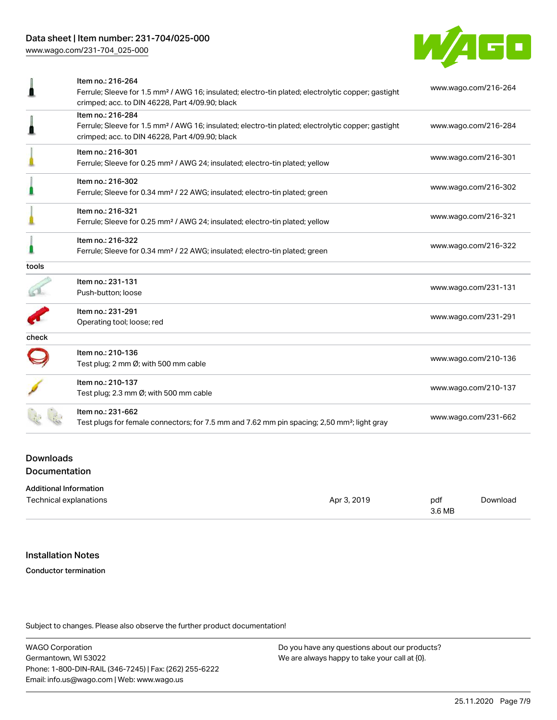

|       | Item no.: 216-264<br>Ferrule; Sleeve for 1.5 mm <sup>2</sup> / AWG 16; insulated; electro-tin plated; electrolytic copper; gastight<br>crimped; acc. to DIN 46228, Part 4/09.90; black | www.wago.com/216-264 |
|-------|----------------------------------------------------------------------------------------------------------------------------------------------------------------------------------------|----------------------|
|       | Item no.: 216-284<br>Ferrule; Sleeve for 1.5 mm <sup>2</sup> / AWG 16; insulated; electro-tin plated; electrolytic copper; gastight<br>crimped; acc. to DIN 46228, Part 4/09.90; black | www.wago.com/216-284 |
|       | Item no.: 216-301<br>Ferrule; Sleeve for 0.25 mm <sup>2</sup> / AWG 24; insulated; electro-tin plated; yellow                                                                          | www.wago.com/216-301 |
|       | Item no.: 216-302<br>Ferrule; Sleeve for 0.34 mm <sup>2</sup> / 22 AWG; insulated; electro-tin plated; green                                                                           | www.wago.com/216-302 |
|       | Item no.: 216-321<br>Ferrule; Sleeve for 0.25 mm <sup>2</sup> / AWG 24; insulated; electro-tin plated; yellow                                                                          | www.wago.com/216-321 |
|       | Item no.: 216-322<br>Ferrule; Sleeve for 0.34 mm <sup>2</sup> / 22 AWG; insulated; electro-tin plated; green                                                                           | www.wago.com/216-322 |
| tools |                                                                                                                                                                                        |                      |
|       | Item no.: 231-131<br>Push-button; loose                                                                                                                                                | www.wago.com/231-131 |
|       | Item no.: 231-291<br>Operating tool; loose; red                                                                                                                                        | www.wago.com/231-291 |
| check |                                                                                                                                                                                        |                      |
|       | Item no.: 210-136<br>Test plug; 2 mm Ø; with 500 mm cable                                                                                                                              | www.wago.com/210-136 |
|       | Item no.: 210-137<br>Test plug; 2.3 mm Ø; with 500 mm cable                                                                                                                            | www.wago.com/210-137 |
|       | Item no.: 231-662<br>Test plugs for female connectors; for 7.5 mm and 7.62 mm pin spacing; 2,50 mm <sup>2</sup> ; light gray                                                           | www.wago.com/231-662 |
|       |                                                                                                                                                                                        |                      |

### **Downloads** Documentation

| <b>Additional Information</b> |             |        |          |
|-------------------------------|-------------|--------|----------|
| Technical explanations        | Apr 3, 2019 | pdf    | Download |
|                               |             | 3.6 MB |          |

# Installation Notes

#### Conductor termination

Subject to changes. Please also observe the further product documentation!

WAGO Corporation Germantown, WI 53022 Phone: 1-800-DIN-RAIL (346-7245) | Fax: (262) 255-6222 Email: info.us@wago.com | Web: www.wago.us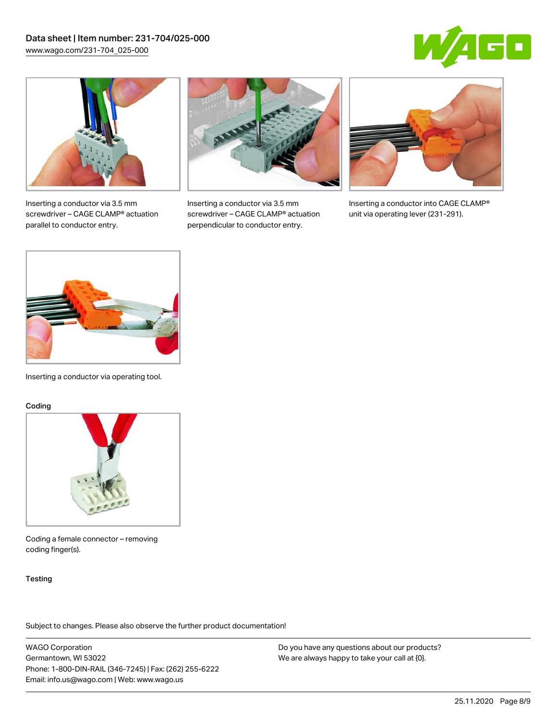



Inserting a conductor via 3.5 mm screwdriver – CAGE CLAMP® actuation parallel to conductor entry.



Inserting a conductor via 3.5 mm screwdriver – CAGE CLAMP® actuation perpendicular to conductor entry.



Inserting a conductor into CAGE CLAMP® unit via operating lever (231-291).



Inserting a conductor via operating tool.

#### Coding



Coding a female connector – removing coding finger(s).

#### **Testing**

Subject to changes. Please also observe the further product documentation!

WAGO Corporation Germantown, WI 53022 Phone: 1-800-DIN-RAIL (346-7245) | Fax: (262) 255-6222 Email: info.us@wago.com | Web: www.wago.us